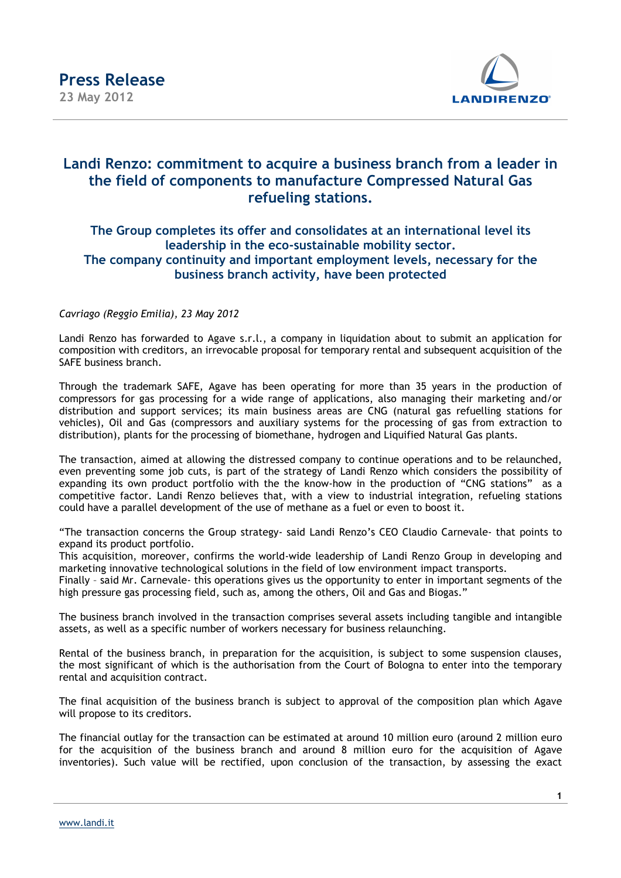

## **Landi Renzo: commitment to acquire a business branch from a leader in the field of components to manufacture Compressed Natural Gas refueling stations.**

## **The Group completes its offer and consolidates at an international level its leadership in the eco-sustainable mobility sector. The company continuity and important employment levels, necessary for the business branch activity, have been protected**

## *Cavriago (Reggio Emilia), 23 May 2012*

Landi Renzo has forwarded to Agave s.r.l., a company in liquidation about to submit an application for composition with creditors, an irrevocable proposal for temporary rental and subsequent acquisition of the SAFE business branch.

Through the trademark SAFE, Agave has been operating for more than 35 years in the production of compressors for gas processing for a wide range of applications, also managing their marketing and/or distribution and support services; its main business areas are CNG (natural gas refuelling stations for vehicles), Oil and Gas (compressors and auxiliary systems for the processing of gas from extraction to distribution), plants for the processing of biomethane, hydrogen and Liquified Natural Gas plants.

The transaction, aimed at allowing the distressed company to continue operations and to be relaunched, even preventing some job cuts, is part of the strategy of Landi Renzo which considers the possibility of expanding its own product portfolio with the the know-how in the production of "CNG stations" as a competitive factor. Landi Renzo believes that, with a view to industrial integration, refueling stations could have a parallel development of the use of methane as a fuel or even to boost it.

"The transaction concerns the Group strategy- said Landi Renzo's CEO Claudio Carnevale- that points to expand its product portfolio.

This acquisition, moreover, confirms the world-wide leadership of Landi Renzo Group in developing and marketing innovative technological solutions in the field of low environment impact transports.

Finally – said Mr. Carnevale- this operations gives us the opportunity to enter in important segments of the high pressure gas processing field, such as, among the others, Oil and Gas and Biogas."

The business branch involved in the transaction comprises several assets including tangible and intangible assets, as well as a specific number of workers necessary for business relaunching.

Rental of the business branch, in preparation for the acquisition, is subject to some suspension clauses, the most significant of which is the authorisation from the Court of Bologna to enter into the temporary rental and acquisition contract.

The final acquisition of the business branch is subject to approval of the composition plan which Agave will propose to its creditors.

The financial outlay for the transaction can be estimated at around 10 million euro (around 2 million euro for the acquisition of the business branch and around 8 million euro for the acquisition of Agave inventories). Such value will be rectified, upon conclusion of the transaction, by assessing the exact